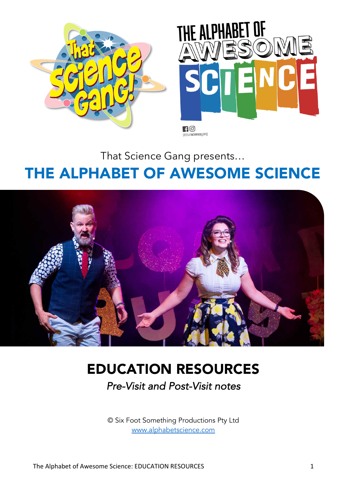



@thatsciencegang

That Science Gang presents…

# THE ALPHABET OF AWESOME SCIENCE



# EDUCATION RESOURCES

Pre-Visit and Post-Visit notes

© Six Foot Something Productions Pty Ltd www.alphabetscience.com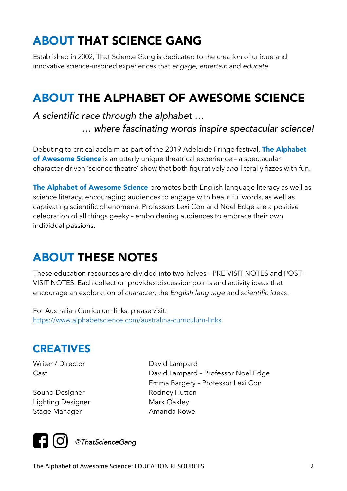## ABOUT THAT SCIENCE GANG

Established in 2002, That Science Gang is dedicated to the creation of unique and innovative science-inspired experiences that engage, entertain and educate.

### ABOUT THE ALPHABET OF AWESOME SCIENCE

#### A scientific race through the alphabet … … where fascinating words inspire spectacular science!

Debuting to critical acclaim as part of the 2019 Adelaide Fringe festival, The Alphabet of Awesome Science is an utterly unique theatrical experience - a spectacular character-driven 'science theatre' show that both figuratively *and* literally fizzes with fun.

The Alphabet of Awesome Science promotes both English language literacy as well as science literacy, encouraging audiences to engage with beautiful words, as well as captivating scientific phenomena. Professors Lexi Con and Noel Edge are a positive celebration of all things geeky – emboldening audiences to embrace their own individual passions.

### ABOUT THESE NOTES

These education resources are divided into two halves – PRE-VISIT NOTES and POST-VISIT NOTES. Each collection provides discussion points and activity ideas that encourage an exploration of *character*, the *English language* and *scientific ideas*.

For Australian Curriculum links, please visit: https://www.alphabetscience.com/australina-curriculum-links

#### CREATIVES

Writer / Director David Lampard

Sound Designer **Rodney Hutton** Lighting Designer Mark Oakley Stage Manager **Amanda Rowe** 

Cast David Lampard – Professor Noel Edge Emma Bargery – Professor Lexi Con



The Alphabet of Awesome Science: EDUCATION RESOURCES 2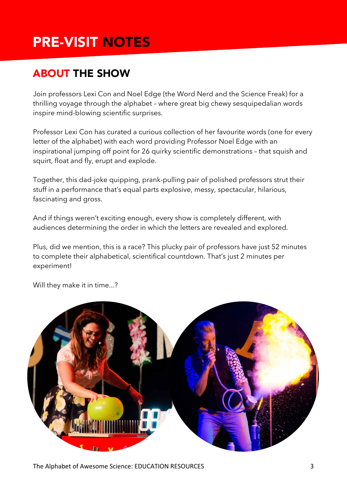# PRE-VISIT NOTES

### ABOUT THE SHOW

Join professors Lexi Con and Noel Edge (the Word Nerd and the Science Freak) for a thrilling voyage through the alphabet – where great big chewy sesquipedalian words inspire mind-blowing scientific surprises.

Professor Lexi Con has curated a curious collection of her favourite words (one for every letter of the alphabet) with each word providing Professor Noel Edge with an inspirational jumping off point for 26 quirky scientific demonstrations – that squish and squirt, float and fly, erupt and explode.

Together, this dad-joke quipping, prank-pulling pair of polished professors strut their stuff in a performance that's equal parts explosive, messy, spectacular, hilarious, fascinating and gross.

And if things weren't exciting enough, every show is completely different, with audiences determining the order in which the letters are revealed and explored.

Plus, did we mention, this is a race? This plucky pair of professors have just 52 minutes to complete their alphabetical, scientifical countdown. That's just 2 minutes per experiment!

Will they make it in time...?

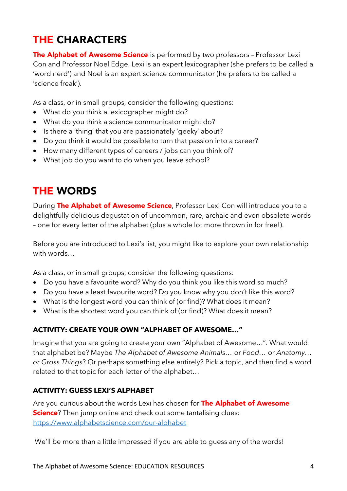### THE CHARACTERS

The Alphabet of Awesome Science is performed by two professors - Professor Lexi Con and Professor Noel Edge. Lexi is an expert lexicographer (she prefers to be called a 'word nerd') and Noel is an expert science communicator (he prefers to be called a 'science freak').

As a class, or in small groups, consider the following questions:

- What do you think a lexicographer might do?
- What do you think a science communicator might do?
- Is there a 'thing' that you are passionately 'geeky' about?
- Do you think it would be possible to turn that passion into a career?
- How many different types of careers / jobs can you think of?
- What job do you want to do when you leave school?

### THE WORDS

During The Alphabet of Awesome Science, Professor Lexi Con will introduce you to a delightfully delicious degustation of uncommon, rare, archaic and even obsolete words – one for every letter of the alphabet (plus a whole lot more thrown in for free!).

Before you are introduced to Lexi's list, you might like to explore your own relationship with words…

As a class, or in small groups, consider the following questions:

- Do you have a favourite word? Why do you think you like this word so much?
- Do you have a least favourite word? Do you know why you don't like this word?
- What is the longest word you can think of (or find)? What does it mean?
- What is the shortest word you can think of (or find)? What does it mean?

#### **ACTIVITY: CREATE YOUR OWN "ALPHABET OF AWESOME…"**

Imagine that you are going to create your own "Alphabet of Awesome…". What would that alphabet be? Maybe *The Alphabet of Awesome Animals…* or *Food…* or *Anatomy… or Gross Things*? Or perhaps something else entirely? Pick a topic, and then find a word related to that topic for each letter of the alphabet…

#### **ACTIVITY: GUESS LEXI'S ALPHABET**

Are you curious about the words Lexi has chosen for The Alphabet of Awesome **Science**? Then jump online and check out some tantalising clues: https://www.alphabetscience.com/our-alphabet

We'll be more than a little impressed if you are able to guess any of the words!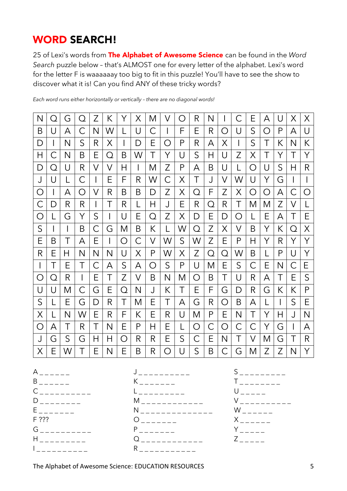#### WORD SEARCH!

25 of Lexi's words from The Alphabet of Awesome Science can be found in the *Word Search* puzzle below – that's ALMOST one for every letter of the alphabet. Lexi's word for the letter F is waaaaaay too big to fit in this puzzle! You'll have to see the show to discover what it is! Can you find ANY of these tricky words?

*Each word runs either horizontally or vertically – there are no diagonal words!*

| N | $\left( \right)$ | G            | ∩ | Z | К | Υ | Χ | M | V | Ō, | R | N |   |   | E | А | U | X | X |
|---|------------------|--------------|---|---|---|---|---|---|---|----|---|---|---|---|---|---|---|---|---|
| B | U                | А            | С | N | W |   | U | С |   | F  | Ε | R | ◯ | U | S | O | P | A | U |
| D |                  | N            | S | R | Χ |   | D | Е | ∩ | P  | R | А | Χ |   | S | Τ | К | N | K |
| Η | С                | Ν            | Β | Ε | Q | Β | W | Τ | Υ | U  | S | Н | U | Z | Χ | Τ | Υ |   | Υ |
| D | O                | U            | R | V | V | Η |   | M | Z | P  | А | Β | U |   | O | U | S | Η | R |
| J | U                |              | С |   | Ε | F | R | W | С | Χ  | Τ | J | V | W | U | Υ | G |   |   |
| O |                  | А            | O | V | R | B | Β | D | Z | Χ  | Q | F | Z | Χ | Ο | O | А | С | O |
| С | D                | R            | R |   | Τ | R |   | Η | J | Ε  | R | Q | R | Τ | Μ | M | Z | V |   |
| O |                  | G            | Y | S |   | U | E | Q | Z | Χ  | D | Е | D | O | L | E | А | Τ | E |
| S |                  | $\mathsf{l}$ | B | С | G | Μ | B | К |   | W  | Q | Ζ | X | V | B | Υ | К | Q | X |
| E | Β                | Τ            | А | Ε |   | O | С | V | W | S  | W | Z | Ε | P | Н | Υ | R | Υ | Y |
| R | Ε                | Н            | N | N | N | U | Χ | P | W | Χ  | Z | Q | O | W | Β |   | P | U | Υ |
| I | Τ                | Е            | Τ | С | Α | S | А | ◯ | S | P  | U | M | Ε | S | С | Ε | Ν | С | E |
| O | O                | R            |   | Ε | T | Z | V | B | N | M  | ◯ | B | Τ | U | R | А | Τ | Е | S |
| U | U                | M            | С | G | Е | Q | N | J | К | Τ  | Ε | F | G | D | R | G | К | К | P |
| S |                  | Е            | G | D | R | Τ | M | Е | Τ | Α  | G | R | ∩ | Β | A |   |   | S | Е |
| Χ |                  | N            | W | Ε | R | F | Κ | Е | R | U  | M | P | Ε | Ν | Τ | Υ | Η | J | N |
| O | А                | Τ            | R | Τ | N | Ε | P | Н | Е |    | O | С | ∩ | С | Ć | Υ | G |   | А |
|   |                  |              |   |   |   |   |   |   |   |    |   |   |   |   |   |   |   |   |   |
| J | G                | S            | G | Η | H | ◯ | R | R | Ε | S  | С | Ε | N | Τ | V | M | G | Т | R |

 $A_{- - - - - -}$  $B$  \_ \_ \_ \_ \_ \_  $C_{-}$  \_ \_ \_ \_ \_ \_ \_ \_ \_  $D$  \_ \_ \_ \_ \_ \_ \_ \_  $E$  \_ \_ \_ \_ \_ \_ \_ F ???  $G_{\,-\,-\,-\,-\,-\,-\,-\,-\,-\,-}$ H \_ \_ \_ \_ \_ \_ \_ \_ \_ I \_ \_ \_ \_ \_ \_ \_ \_ \_ \_



 $S$  \_ \_ \_ \_ \_ \_ \_ \_ \_ \_  $T_{-}$   $U_{---}$  $V$  \_ \_ \_ \_ \_ \_ \_ \_ \_ \_  $W$  \_ \_ \_ \_ \_ \_  $X$ <sub>-----</sub>  $Y$  \_ \_ \_ \_ \_  $Z \sim$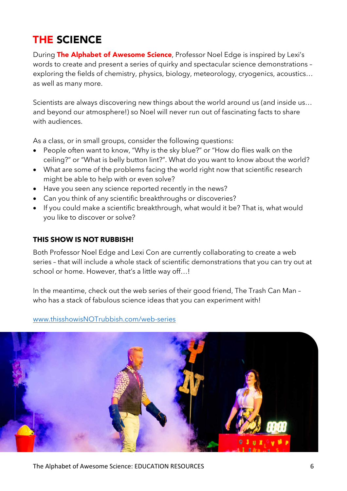### THE SCIENCE

During The Alphabet of Awesome Science, Professor Noel Edge is inspired by Lexi's words to create and present a series of quirky and spectacular science demonstrations – exploring the fields of chemistry, physics, biology, meteorology, cryogenics, acoustics… as well as many more.

Scientists are always discovering new things about the world around us (and inside us… and beyond our atmosphere!) so Noel will never run out of fascinating facts to share with audiences.

As a class, or in small groups, consider the following questions:

- People often want to know, "Why is the sky blue?" or "How do flies walk on the ceiling?" or "What is belly button lint?". What do you want to know about the world?
- What are some of the problems facing the world right now that scientific research might be able to help with or even solve?
- Have you seen any science reported recently in the news?
- Can you think of any scientific breakthroughs or discoveries?
- If you could make a scientific breakthrough, what would it be? That is, what would you like to discover or solve?

#### **THIS SHOW IS NOT RUBBISH!**

Both Professor Noel Edge and Lexi Con are currently collaborating to create a web series – that will include a whole stack of scientific demonstrations that you can try out at school or home. However, that's a little way off...!

In the meantime, check out the web series of their good friend, The Trash Can Man – who has a stack of fabulous science ideas that you can experiment with!

#### www.thisshowisNOTrubbish.com/web-series

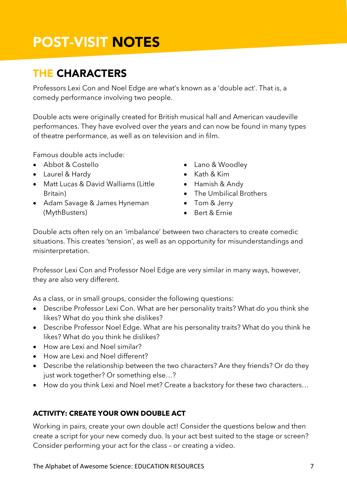# POST-VISIT NOTES

#### THE CHARACTERS

Professors Lexi Con and Noel Edge are what's known as a 'double act'. That is, a comedy performance involving two people.

Double acts were originally created for British musical hall and American vaudeville performances. They have evolved over the years and can now be found in many types of theatre performance, as well as on television and in film.

Famous double acts include:

- Abbot & Costello
- Laurel & Hardy
- Matt Lucas & David Walliams (Little Britain)
- Adam Savage & James Hyneman (MythBusters)
- Lano & Woodley
- Kath & Kim
- Hamish & Andy
- The Umbilical Brothers
- Tom & Jerry
- Bert & Ernie

Double acts often rely on an 'imbalance' between two characters to create comedic situations. This creates 'tension', as well as an opportunity for misunderstandings and misinterpretation.

Professor Lexi Con and Professor Noel Edge are very similar in many ways, however, they are also very different.

As a class, or in small groups, consider the following questions:

- Describe Professor Lexi Con. What are her personality traits? What do you think she likes? What do you think she dislikes?
- Describe Professor Noel Edge. What are his personality traits? What do you think he likes? What do you think he dislikes?
- How are Lexi and Noel similar?
- How are Lexi and Noel different?
- Describe the relationship between the two characters? Are they friends? Or do they just work together? Or something else…?
- How do you think Lexi and Noel met? Create a backstory for these two characters…

#### **ACTIVITY: CREATE YOUR OWN DOUBLE ACT**

Working in pairs, create your own double act! Consider the questions below and then create a script for your new comedy duo. Is your act best suited to the stage or screen? Consider performing your act for the class – or creating a video.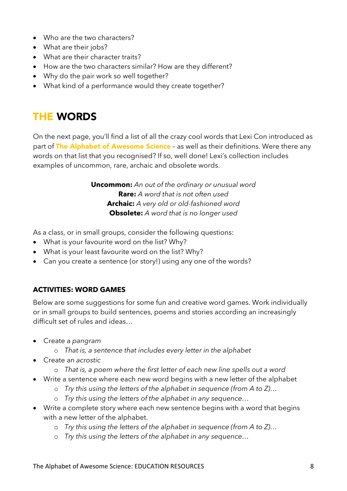- Who are the two characters?
- What are their jobs?
- What are their character traits?
- How are the two characters similar? How are they different?
- Why do the pair work so well together?
- What kind of a performance would they create together?

### THE WORDS

On the next page, you'll find a list of all the crazy cool words that Lexi Con introduced as part of The Alphabet of Awesome Science - as well as their definitions. Were there any words on that list that you recognised? If so, well done! Lexi's collection includes examples of uncommon, rare, archaic and obsolete words.

> **Uncommon:** *An out of the ordinary or unusual word*  **Rare:** *A word that is not often used*  **Archaic:** *A very old or old-fashioned word*  **Obsolete:** *A word that is no longer used*

As a class, or in small groups, consider the following questions:

- What is your favourite word on the list? Why?
- What is your least favourite word on the list? Why?
- Can you create a sentence (or story!) using any one of the words?

#### **ACTIVITIES: WORD GAMES**

Below are some suggestions for some fun and creative word games. Work individually or in small groups to build sentences, poems and stories according an increasingly difficult set of rules and ideas…

- Create a *pangram*
	- o *That is, a sentence that includes every letter in the alphabet*
- Create an *acrostic*
	- o *That is, a poem where the first letter of each new line spells out a word*
- Write a sentence where each new word begins with a new letter of the alphabet
	- o *Try this using the letters of the alphabet in sequence (from A to Z)…*
	- o *Try this using the letters of the alphabet in any sequence…*
- Write a complete story where each new sentence begins with a word that begins with a new letter of the alphabet.
	- o *Try this using the letters of the alphabet in sequence (from A to Z)…*
	- o *Try this using the letters of the alphabet in any sequence…*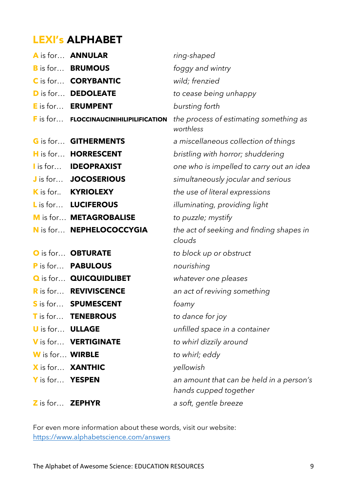### LEXI's ALPHABET

|                               | A is for ANNULAR                       | ring-shaped                                                       |
|-------------------------------|----------------------------------------|-------------------------------------------------------------------|
|                               | <b>B</b> is for <b>BRUMOUS</b>         | foggy and wintry                                                  |
|                               | C is for <b>CORYBANTIC</b>             | wild; frenzied                                                    |
|                               | <b>D</b> is for DEDOLEATE              | to cease being unhappy                                            |
|                               | E is for <b>ERUMPENT</b>               | bursting forth                                                    |
|                               | F is for FLOCCINAUCINIHILIPILIFICATION | the process of estimating something as<br>worthless               |
|                               | <b>G</b> is for <b>GITHERMENTS</b>     | a miscellaneous collection of things                              |
|                               | H is for HORRESCENT                    | bristling with horror; shuddering                                 |
|                               | I is for <b>IDEOPRAXIST</b>            | one who is impelled to carry out an idea                          |
|                               | J is for JOCOSERIOUS                   | simultaneously jocular and serious                                |
|                               | K is for KYRIOLEXY                     | the use of literal expressions                                    |
|                               | L is for LUCIFEROUS                    | illuminating, providing light                                     |
|                               | M is for METAGROBALISE                 | to puzzle; mystify                                                |
|                               | N is for NEPHELOCOCCYGIA               | the act of seeking and finding shapes in<br>clouds                |
|                               | O is for OBTURATE                      | to block up or obstruct                                           |
|                               | P is for PABULOUS                      | nourishing                                                        |
|                               | <b>Q</b> is for QUICQUIDLIBET          | whatever one pleases                                              |
|                               | <b>R</b> is for <b>REVIVISCENCE</b>    | an act of reviving something                                      |
|                               | S is for SPUMESCENT                    | foamy                                                             |
|                               | T is for TENEBROUS                     | to dance for joy                                                  |
| <b>U</b> is for <b>ULLAGE</b> |                                        | unfilled space in a container                                     |
|                               | V is for VERTIGINATE                   | to whirl dizzily around                                           |
| W is for WIRBLE               |                                        | to whirl; eddy                                                    |
|                               | X is for XANTHIC                       | yellowish                                                         |
| Y is for YESPEN               |                                        | an amount that can be held in a person's<br>hands cupped together |
| Z is for <b>ZEPHYR</b>        |                                        | a soft, gentle breeze                                             |

For even more information about these words, visit our website: https://www.alphabetscience.com/answers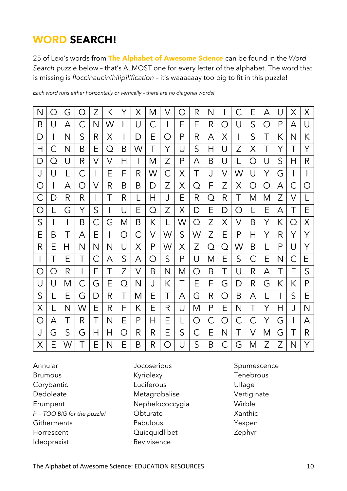### WORD SEARCH!

25 of Lexi's words from The Alphabet of Awesome Science can be found in the *Word Search* puzzle below – that's ALMOST one for every letter of the alphabet. The word that is missing is *floccinaucinihilipilification* – it's waaaaaay too big to fit in this puzzle!

| N            | $\left(\begin{array}{c} 1 \end{array}\right)$ | G | $\left( \right)$                                | Z | К | Υ | Χ | M | V | $\left(\begin{array}{c} \end{array}\right)$ | R            | N |   | C                                             | Е | А | U | Χ | X                |
|--------------|-----------------------------------------------|---|-------------------------------------------------|---|---|---|---|---|---|---------------------------------------------|--------------|---|---|-----------------------------------------------|---|---|---|---|------------------|
| B            | U                                             | A | С                                               | N | W | L | U | С |   | F                                           | Ε            | R | O | U                                             | S | O | P | А | U                |
| D            |                                               | N | $\mathsf{S}$                                    | R | Χ | I | D | Ε | ◯ | P                                           | R            | А | Χ |                                               | S | Τ | К | Ν | К                |
| Н            | С                                             | N | Β                                               | Е | Q | B | W | Τ | Υ | U                                           | S            | Η | U | Z                                             | Χ | Τ | Υ | Τ | Υ                |
| D            | O                                             | U | R                                               | V | V | H |   | M | Z | P                                           | А            | B | U |                                               | O | U | S | Н | R                |
| J            | U                                             |   | С                                               |   | Е | F | R | W | С | Χ                                           | T            | J | V | W                                             | U | Υ | G |   |                  |
| O            |                                               | Α | $\left( \begin{array}{c} 1 \end{array} \right)$ | V | R | B | Β | D | Z | Χ                                           | Q            | F | Z | Χ                                             | O | ◯ | A | С | $\left( \right)$ |
| $\mathsf C$  | D                                             | R | R                                               |   | T | R |   | Н | J | Ε                                           | R            | Q | R | Τ                                             | Μ | Μ | Z | V |                  |
| O            |                                               | G | Υ                                               | S |   | U | Ε | Q | Z | Χ                                           | D            | Е | D | $\left(\begin{array}{c} 1 \end{array}\right)$ |   | E | А | Τ | Е                |
| S            |                                               |   | B                                               | С | G | Μ | Β | К | L | W                                           | Q            | Z | Χ | V                                             | B | Y | К | Q | X                |
| E            | B                                             | Τ | А                                               | Е |   | O | С | V | W | S                                           | W            | Z | Е | P                                             | H | Υ | R | Υ | Υ                |
| R            | Ε                                             | Н | N                                               | N | N | U | Χ | P | W | Χ                                           | Z            | O | O | W                                             | B |   | P | U | Υ                |
| I            | Τ                                             | Е | Τ                                               | С | А | S | А | O | S | P                                           | U            | M | Ε | S                                             | С | Ε | N | С | E                |
| O            | Q                                             | R |                                                 | Ε | Τ | Z | V | Β | N | M                                           | O            | Β | Τ | U                                             | R | А | Τ | Е | S                |
| U            | U                                             | Μ | С                                               | G | Е | Q | N | J | К | Τ                                           | Ε            | F | G | D                                             | R | G | К | К | P                |
| S            |                                               | Ε | G                                               | D | R | T | M | Е | Τ | Α                                           | G            | R | O | B                                             | А |   |   | S | Ε                |
| Χ            |                                               | N | W                                               | Ε | R | F | К | Ε | R | U                                           | M            | P | E | Ν                                             | Τ | Υ | Η | J | N                |
| O            | А                                             | Τ | R                                               | Τ | N | Ε | P | Н | Ε |                                             | O            | С | O | С                                             | С | Υ | G |   | A                |
| J            | G                                             | S | G                                               | Η | Н | O | R | R | E | S                                           | С            | E | N | Τ                                             | V | M | G | Τ | R                |
| $\mathsf{X}$ | E                                             | W | Τ                                               | Ε | N | Ε | B | R | ∩ | $\cup$                                      | $\mathsf{S}$ | B | С | G                                             | M | Z | Z | N | Y                |

*Each word runs either horizontally or vertically – there are no diagonal words!*

Annular Brumous Corybantic Dedoleate Erumpent *F – TOO BIG for the puzzle!* **Githerments** Horrescent Ideopraxist

- Jocoserious Kyriolexy Luciferous Metagrobalise Nephelococcygia **Obturate** Pabulous **Quicquidlibet** Revivisence
- Spumescence Tenebrous Ullage Vertiginate Wirble Xanthic Yespen Zephyr